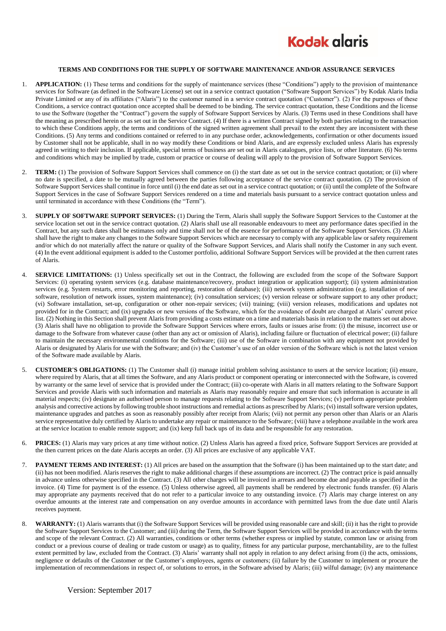

## **TERMS AND CONDITIONS FOR THE SUPPLY OF SOFTWARE MAINTENANCE AND/OR ASSURANCE SERVICES**

- 1. **APPLICATION:** (1) These terms and conditions for the supply of maintenance services (these "Conditions") apply to the provision of maintenance services for Software (as defined in the Software License) set out in a service contract quotation ("Software Support Services") by Kodak Alaris India Private Limited or any of its affiliates ("Alaris") to the customer named in a service contract quotation ("Customer"). (2) For the purposes of these Conditions, a service contract quotation once accepted shall be deemed to be binding. The service contract quotation, these Conditions and the license to use the Software (together the "Contract") govern the supply of Software Support Services by Alaris. (3) Terms used in these Conditions shall have the meaning as prescribed herein or as set out in the Service Contract. (4) If there is a written Contract signed by both parties relating to the transaction to which these Conditions apply, the terms and conditions of the signed written agreement shall prevail to the extent they are inconsistent with these Conditions. (5) Any terms and conditions contained or referred to in any purchase order, acknowledgements, confirmation or other documents issued by Customer shall not be applicable, shall in no way modify these Conditions or bind Alaris, and are expressly excluded unless Alaris has expressly agreed in writing to their inclusion. If applicable, special terms of business are set out in Alaris catalogues, price lists, or other literature. (6) No terms and conditions which may be implied by trade, custom or practice or course of dealing will apply to the provision of Software Support Services.
- 2. **TERM:** (1) The provision of Software Support Services shall commence on (i) the start date as set out in the service contract quotation; or (ii) where no date is specified, a date to be mutually agreed between the parties following acceptance of the service contract quotation. (2) The provision of Software Support Services shall continue in force until (i) the end date as set out in a service contract quotation; or (ii) until the complete of the Software Support Services in the case of Software Support Services rendered on a time and materials basis pursuant to a service contract quotation unless and until terminated in accordance with these Conditions (the "Term").
- 3. **SUPPLY OF SOFTWARE SUPPORT SERVICES:** (1) During the Term, Alaris shall supply the Software Support Services to the Customer at the service location set out in the service contract quotation. (2) Alaris shall use all reasonable endeavours to meet any performance dates specified in the Contract, but any such dates shall be estimates only and time shall not be of the essence for performance of the Software Support Services. (3) Alaris shall have the right to make any changes to the Software Support Services which are necessary to comply with any applicable law or safety requirement and/or which do not materially affect the nature or quality of the Software Support Services, and Alaris shall notify the Customer in any such event. (4) In the event additional equipment is added to the Customer portfolio, additional Software Support Services will be provided at the then current rates of Alaris.
- 4. **SERVICE LIMITATIONS:** (1) Unless specifically set out in the Contract, the following are excluded from the scope of the Software Support Services: (i) operating system services (e.g. database maintenance/recovery, product integration or application support); (ii) system administration services (e.g. System restarts, error monitoring and reporting, restoration of database); (iii) network system administration (e.g. installation of new software, resolution of network issues, system maintenance); (iv) consultation services; (v) version release or software support to any other product; (vi) Software installation, set-up, configuration or other non-repair services; (vii) training; (viii) version releases, modifications and updates not provided for in the Contract; and (ix) upgrades or new versions of the Software, which for the avoidance of doubt are charged at Alaris' current price list. (2) Nothing in this Section shall prevent Alaris from providing a costs estimate on a time and materials basis in relation to the matters set out above. (3) Alaris shall have no obligation to provide the Software Support Services where errors, faults or issues arise from: (i) the misuse, incorrect use or damage to the Software from whatever cause (other than any act or omission of Alaris), including failure or fluctuation of electrical power; (ii) failure to maintain the necessary environmental conditions for the Software; (iii) use of the Software in combination with any equipment not provided by Alaris or designated by Alaris for use with the Software; and (iv) the Customer's use of an older version of the Software which is not the latest version of the Software made available by Alaris.
- 5. **CUSTOMER'S OBLIGATIONS:** (1) The Customer shall (i) manage initial problem solving assistance to users at the service location; (ii) ensure, where required by Alaris, that at all times the Software, and any Alaris product or component operating or interconnected with the Software, is covered by warranty or the same level of service that is provided under the Contract; (iii) co-operate with Alaris in all matters relating to the Software Support Services and provide Alaris with such information and materials as Alaris may reasonably require and ensure that such information is accurate in all material respects; (iv) designate an authorised person to manage requests relating to the Software Support Services; (v) perform appropriate problem analysis and corrective actions by following trouble shoot instructions and remedial actions as prescribed by Alaris; (vi) install software version updates, maintenance upgrades and patches as soon as reasonably possibly after receipt from Alaris; (vii) not permit any person other than Alaris or an Alaris service representative duly certified by Alaris to undertake any repair or maintenance to the Software; (viii) have a telephone available in the work area at the service location to enable remote support; and (ix) keep full back ups of its data and be responsible for any restoration.
- 6. **PRICES:** (1) Alaris may vary prices at any time without notice. (2) Unless Alaris has agreed a fixed price, Software Support Services are provided at the then current prices on the date Alaris accepts an order. (3) All prices are exclusive of any applicable VAT.
- 7. **PAYMENT TERMS AND INTEREST:** (1) All prices are based on the assumption that the Software (i) has been maintained up to the start date; and (ii) has not been modified. Alaris reserves the right to make additional charges if these assumptions are incorrect. (2) The contract price is paid annually in advance unless otherwise specified in the Contract. (3) All other charges will be invoiced in arrears and become due and payable as specified in the invoice. (4) Time for payment is of the essence. (5) Unless otherwise agreed, all payments shall be rendered by electronic funds transfer. (6) Alaris may appropriate any payments received that do not refer to a particular invoice to any outstanding invoice. (7) Alaris may charge interest on any overdue amounts at the interest rate and compensation on any overdue amounts in accordance with permitted laws from the due date until Alaris receives payment.
- **WARRANTY:** (1) Alaris warrants that (i) the Software Support Services will be provided using reasonable care and skill; (ii) it has the right to provide the Software Support Services to the Customer; and (iii) during the Term, the Software Support Services will be provided in accordance with the terms and scope of the relevant Contract. (2) All warranties, conditions or other terms (whether express or implied by statute, common law or arising from conduct or a previous course of dealing or trade custom or usage) as to quality, fitness for any particular purpose, merchantability, are to the fullest extent permitted by law, excluded from the Contract. (3) Alaris' warranty shall not apply in relation to any defect arising from (i) the acts, omissions, negligence or defaults of the Customer or the Customer's employees, agents or customers; (ii) failure by the Customer to implement or procure the implementation of recommendations in respect of, or solutions to errors, in the Software advised by Alaris; (iii) wilful damage; (iv) any maintenance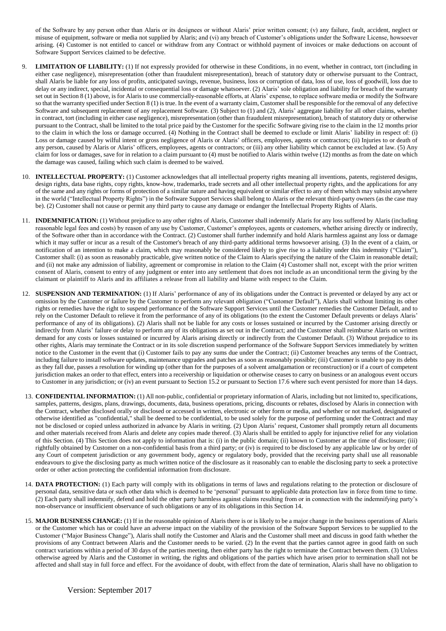of the Software by any person other than Alaris or its designees or without Alaris' prior written consent; (v) any failure, fault, accident, neglect or misuse of equipment, software or media not supplied by Alaris; and (vi) any breach of Customer's obligations under the Software License, howsoever arising. (4) Customer is not entitled to cancel or withdraw from any Contract or withhold payment of invoices or make deductions on account of Software Support Services claimed to be defective.

- **LIMITATION OF LIABILITY:** (1) If not expressly provided for otherwise in these Conditions, in no event, whether in contract, tort (including in either case negligence), misrepresentation (other than fraudulent misrepresentation), breach of statutory duty or otherwise pursuant to the Contract, shall Alaris be liable for any loss of profits, anticipated savings, revenue, business, loss or corruption of data, loss of use, loss of goodwill, loss due to delay or any indirect, special, incidental or consequential loss or damage whatsoever. (2) Alaris' sole obligation and liability for breach of the warranty set out in Section 8 (1) above, is for Alaris to use commercially-reasonable efforts, at Alaris' expense, to replace software media or modify the Software so that the warranty specified under Section 8 (1) is true. In the event of a warranty claim, Customer shall be responsible for the removal of any defective Software and subsequent replacement of any replacement Software. (3) Subject to (1) and (2), Alaris' aggregate liability for all other claims, whether in contract, tort (including in either case negligence), misrepresentation (other than fraudulent misrepresentation), breach of statutory duty or otherwise pursuant to the Contract, shall be limited to the total price paid by the Customer for the specific Software giving rise to the claim in the 12 months prior to the claim in which the loss or damage occurred. (4) Nothing in the Contract shall be deemed to exclude or limit Alaris' liability in respect of: (i) Loss or damage caused by wilful intent or gross negligence of Alaris or Alaris' officers, employees, agents or contractors; (ii) Injuries to or death of any person, caused by Alaris or Alaris' officers, employees, agents or contractors; or (iii) any other liability which cannot be excluded at law. (5) Any claim for loss or damages, save for in relation to a claim pursuant to (4) must be notified to Alaris within twelve (12) months as from the date on which the damage was caused, failing which such claim is deemed to be waived.
- 10. **INTELLECTUAL PROPERTY:** (1) Customer acknowledges that all intellectual property rights meaning all inventions, patents, registered designs, design rights, data base rights, copy rights, know-how, trademarks, trade secrets and all other intellectual property rights, and the applications for any of the same and any rights or forms of protection of a similar nature and having equivalent or similar effect to any of them which may subsist anywhere in the world ("Intellectual Property Rights") in the Software Support Services shall belong to Alaris or the relevant third-party owners (as the case may be). (2) Customer shall not cause or permit any third party to cause any damage or endanger the Intellectual Property Rights of Alaris.
- 11. **INDEMNIFICATION:** (1) Without prejudice to any other rights of Alaris, Customer shall indemnify Alaris for any loss suffered by Alaris (including reasonable legal fees and costs) by reason of any use by Customer, Customer's employees, agents or customers, whether arising directly or indirectly, of the Software other than in accordance with the Contract. (2) Customer shall further indemnify and hold Alaris harmless against any loss or damage which it may suffer or incur as a result of the Customer's breach of any third-party additional terms howsoever arising. (3) In the event of a claim, or notification of an intention to make a claim, which may reasonably be considered likely to give rise to a liability under this indemnity ("Claim"), Customer shall: (i) as soon as reasonably practicable, give written notice of the Claim to Alaris specifying the nature of the Claim in reasonable detail; and (ii) not make any admission of liability, agreement or compromise in relation to the Claim (4) Customer shall not, except with the prior written consent of Alaris, consent to entry of any judgment or enter into any settlement that does not include as an unconditional term the giving by the claimant or plaintiff to Alaris and its affiliates a release from all liability and blame with respect to the Claim.
- 12. **SUSPENSION AND TERMINATION:** (1) If Alaris' performance of any of its obligations under the Contract is prevented or delayed by any act or omission by the Customer or failure by the Customer to perform any relevant obligation ("Customer Default"), Alaris shall without limiting its other rights or remedies have the right to suspend performance of the Software Support Services until the Customer remedies the Customer Default, and to rely on the Customer Default to relieve it from the performance of any of its obligations (to the extent the Customer Default prevents or delays Alaris' performance of any of its obligations). (2) Alaris shall not be liable for any costs or losses sustained or incurred by the Customer arising directly or indirectly from Alaris' failure or delay to perform any of its obligations as set out in the Contract; and the Customer shall reimburse Alaris on written demand for any costs or losses sustained or incurred by Alaris arising directly or indirectly from the Customer Default. (3) Without prejudice to its other rights, Alaris may terminate the Contract or in its sole discretion suspend performance of the Software Support Services immediately by written notice to the Customer in the event that (i) Customer fails to pay any sums due under the Contract; (ii) Customer breaches any terms of the Contract, including failure to install software updates, maintenance upgrades and patches as soon as reasonably possible; (iii) Customer is unable to pay its debts as they fall due, passes a resolution for winding up (other than for the purposes of a solvent amalgamation or reconstruction) or if a court of competent jurisdiction makes an order to that effect, enters into a receivership or liquidation or otherwise ceases to carry on business or an analogous event occurs to Customer in any jurisdiction; or (iv) an event pursuant to Section 15.2 or pursuant to Section 17.6 where such event persisted for more than 14 days.
- 13. **CONFIDENTIAL INFORMATION:** (1) All non-public, confidential or proprietary information of Alaris, including but not limited to, specifications, samples, patterns, designs, plans, drawings, documents, data, business operations, pricing, discounts or rebates, disclosed by Alaris in connection with the Contract, whether disclosed orally or disclosed or accessed in written, electronic or other form or media, and whether or not marked, designated or otherwise identified as "confidential," shall be deemed to be confidential, to be used solely for the purpose of performing under the Contract and may not be disclosed or copied unless authorized in advance by Alaris in writing. (2) Upon Alaris' request, Customer shall promptly return all documents and other materials received from Alaris and delete any copies made thereof. (3) Alaris shall be entitled to apply for injunctive relief for any violation of this Section. (4) This Section does not apply to information that is: (i) in the public domain; (ii) known to Customer at the time of disclosure; (iii) rightfully obtained by Customer on a non-confidential basis from a third party; or (iv) is required to be disclosed by any applicable law or by order of any Court of competent jurisdiction or any government body, agency or regulatory body, provided that the receiving party shall use all reasonable endeavours to give the disclosing party as much written notice of the disclosure as it reasonably can to enable the disclosing party to seek a protective order or other action protecting the confidential information from disclosure.
- 14. **DATA PROTECTION:** (1) Each party will comply with its obligations in terms of laws and regulations relating to the protection or disclosure of personal data, sensitive data or such other data which is deemed to be 'personal' pursuant to applicable data protection law in force from time to time. (2) Each party shall indemnify, defend and hold the other party harmless against claims resulting from or in connection with the indemnifying party's non-observance or insufficient observance of such obligations or any of its obligations in this Section 14.
- 15. **MAJOR BUSINESS CHANGE:** (1) If in the reasonable opinion of Alaris there is or is likely to be a major change in the business operations of Alaris or the Customer which has or could have an adverse impact on the viability of the provision of the Software Support Services to be supplied to the Customer ("Major Business Change"), Alaris shall notify the Customer and Alaris and the Customer shall meet and discuss in good faith whether the provisions of any Contract between Alaris and the Customer needs to be varied. (2) In the event that the parties cannot agree in good faith on such contract variations within a period of 30 days of the parties meeting, then either party has the right to terminate the Contract between them. (3) Unless otherwise agreed by Alaris and the Customer in writing, the rights and obligations of the parties which have arisen prior to termination shall not be affected and shall stay in full force and effect. For the avoidance of doubt, with effect from the date of termination, Alaris shall have no obligation to